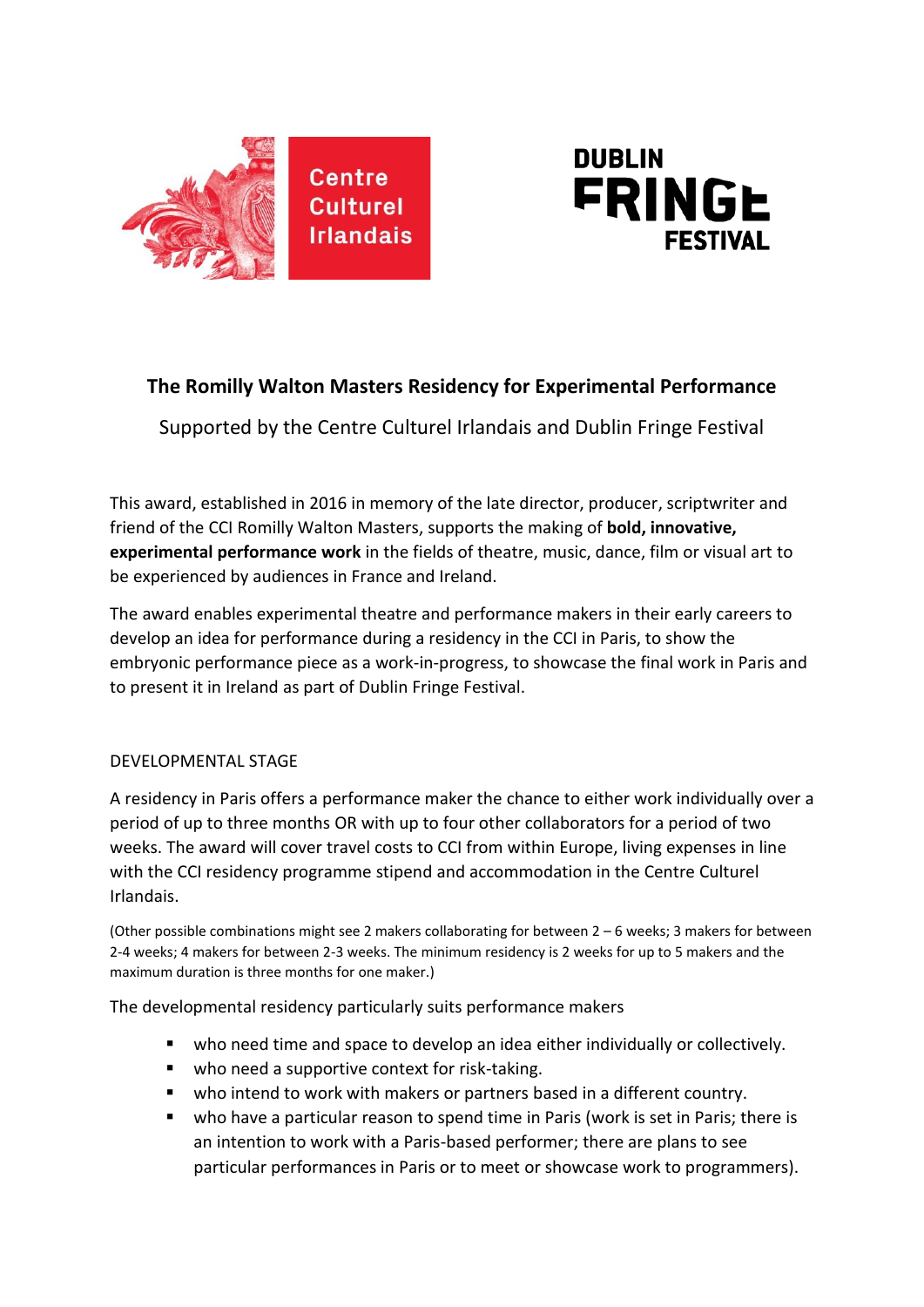



# **The Romilly Walton Masters Residency for Experimental Performance**

Supported by the Centre Culturel Irlandais and Dublin Fringe Festival

This award, established in 2016 in memory of the late director, producer, scriptwriter and friend of the CCI Romilly Walton Masters, supports the making of **bold, innovative, experimental performance work** in the fields of theatre, music, dance, film or visual art to be experienced by audiences in France and Ireland.

The award enables experimental theatre and performance makers in their early careers to develop an idea for performance during a residency in the CCI in Paris, to show the embryonic performance piece as a work-in-progress, to showcase the final work in Paris and to present it in Ireland as part of Dublin Fringe Festival.

## DEVELOPMENTAL STAGE

A residency in Paris offers a performance maker the chance to either work individually over a period of up to three months OR with up to four other collaborators for a period of two weeks. The award will cover travel costs to CCI from within Europe, living expenses in line with the CCI residency programme stipend and accommodation in the Centre Culturel Irlandais.

(Other possible combinations might see 2 makers collaborating for between 2 – 6 weeks; 3 makers for between 2-4 weeks; 4 makers for between 2-3 weeks. The minimum residency is 2 weeks for up to 5 makers and the maximum duration is three months for one maker.)

The developmental residency particularly suits performance makers

- who need time and space to develop an idea either individually or collectively.
- who need a supportive context for risk-taking.
- who intend to work with makers or partners based in a different country.
- who have a particular reason to spend time in Paris (work is set in Paris; there is an intention to work with a Paris-based performer; there are plans to see particular performances in Paris or to meet or showcase work to programmers).